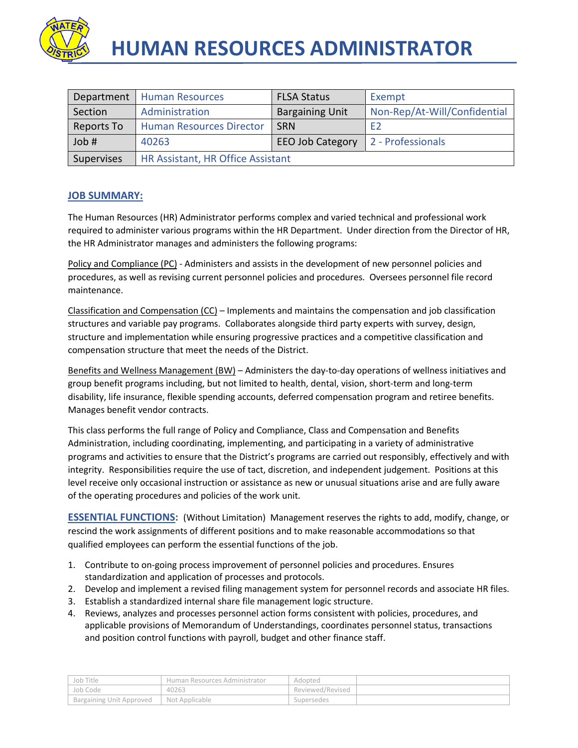

| Department | <b>Human Resources</b>                                | <b>FLSA Status</b>     | Exempt                       |
|------------|-------------------------------------------------------|------------------------|------------------------------|
| Section    | Administration                                        | <b>Bargaining Unit</b> | Non-Rep/At-Will/Confidential |
| Reports To | <b>Human Resources Director</b>                       | <b>SRN</b>             | F2                           |
| Job #      | 2 - Professionals<br><b>EEO Job Category</b><br>40263 |                        |                              |
| Supervises | HR Assistant, HR Office Assistant                     |                        |                              |

# **JOB SUMMARY:**

The Human Resources (HR) Administrator performs complex and varied technical and professional work required to administer various programs within the HR Department. Under direction from the Director of HR, the HR Administrator manages and administers the following programs:

Policy and Compliance (PC) - Administers and assists in the development of new personnel policies and procedures, as well as revising current personnel policies and procedures. Oversees personnel file record maintenance.

Classification and Compensation (CC) – Implements and maintains the compensation and job classification structures and variable pay programs. Collaborates alongside third party experts with survey, design, structure and implementation while ensuring progressive practices and a competitive classification and compensation structure that meet the needs of the District.

Benefits and Wellness Management (BW) – Administers the day-to-day operations of wellness initiatives and group benefit programs including, but not limited to health, dental, vision, short-term and long-term disability, life insurance, flexible spending accounts, deferred compensation program and retiree benefits. Manages benefit vendor contracts.

This class performs the full range of Policy and Compliance, Class and Compensation and Benefits Administration, including coordinating, implementing, and participating in a variety of administrative programs and activities to ensure that the District's programs are carried out responsibly, effectively and with integrity. Responsibilities require the use of tact, discretion, and independent judgement. Positions at this level receive only occasional instruction or assistance as new or unusual situations arise and are fully aware of the operating procedures and policies of the work unit.

**ESSENTIAL FUNCTIONS:** (Without Limitation) Management reserves the rights to add, modify, change, or rescind the work assignments of different positions and to make reasonable accommodations so that qualified employees can perform the essential functions of the job.

- 1. Contribute to on-going process improvement of personnel policies and procedures. Ensures standardization and application of processes and protocols.
- 2. Develop and implement a revised filing management system for personnel records and associate HR files.
- 3. Establish a standardized internal share file management logic structure.
- 4. Reviews, analyzes and processes personnel action forms consistent with policies, procedures, and applicable provisions of Memorandum of Understandings, coordinates personnel status, transactions and position control functions with payroll, budget and other finance staff.

| ' Job Title              | Human Resources Administrator | Adopted          |  |
|--------------------------|-------------------------------|------------------|--|
| Job Code                 | 40263                         | Reviewed/Revised |  |
| Bargaining Unit Approved | Not Applicable                | Supersedes       |  |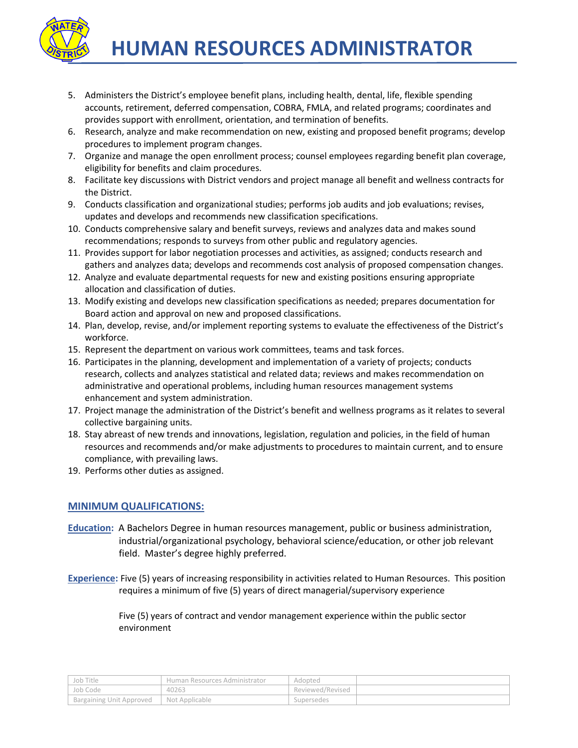

- 5. Administers the District's employee benefit plans, including health, dental, life, flexible spending accounts, retirement, deferred compensation, COBRA, FMLA, and related programs; coordinates and provides support with enrollment, orientation, and termination of benefits.
- 6. Research, analyze and make recommendation on new, existing and proposed benefit programs; develop procedures to implement program changes.
- 7. Organize and manage the open enrollment process; counsel employees regarding benefit plan coverage, eligibility for benefits and claim procedures.
- 8. Facilitate key discussions with District vendors and project manage all benefit and wellness contracts for the District.
- 9. Conducts classification and organizational studies; performs job audits and job evaluations; revises, updates and develops and recommends new classification specifications.
- 10. Conducts comprehensive salary and benefit surveys, reviews and analyzes data and makes sound recommendations; responds to surveys from other public and regulatory agencies.
- 11. Provides support for labor negotiation processes and activities, as assigned; conducts research and gathers and analyzes data; develops and recommends cost analysis of proposed compensation changes.
- 12. Analyze and evaluate departmental requests for new and existing positions ensuring appropriate allocation and classification of duties.
- 13. Modify existing and develops new classification specifications as needed; prepares documentation for Board action and approval on new and proposed classifications.
- 14. Plan, develop, revise, and/or implement reporting systems to evaluate the effectiveness of the District's workforce.
- 15. Represent the department on various work committees, teams and task forces.
- 16. Participates in the planning, development and implementation of a variety of projects; conducts research, collects and analyzes statistical and related data; reviews and makes recommendation on administrative and operational problems, including human resources management systems enhancement and system administration.
- 17. Project manage the administration of the District's benefit and wellness programs as it relates to several collective bargaining units.
- 18. Stay abreast of new trends and innovations, legislation, regulation and policies, in the field of human resources and recommends and/or make adjustments to procedures to maintain current, and to ensure compliance, with prevailing laws.
- 19. Performs other duties as assigned.

# **MINIMUM QUALIFICATIONS:**

- **Education:** A Bachelors Degree in human resources management, public or business administration, industrial/organizational psychology, behavioral science/education, or other job relevant field. Master's degree highly preferred.
- **Experience:** Five (5) years of increasing responsibility in activities related to Human Resources. This position requires a minimum of five (5) years of direct managerial/supervisory experience

Five (5) years of contract and vendor management experience within the public sector environment

| Job Title                | Human Resources Administrator | Adopted          |  |
|--------------------------|-------------------------------|------------------|--|
| Job Code                 | 40263                         | Reviewed/Revised |  |
| Bargaining Unit Approved | <sup>1</sup> Not Applicable   | Supersedes       |  |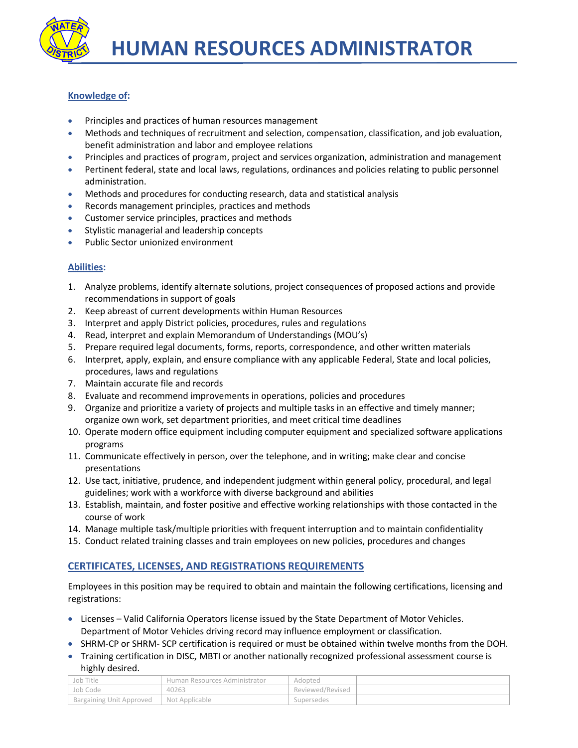

### **Knowledge of:**

- Principles and practices of human resources management
- Methods and techniques of recruitment and selection, compensation, classification, and job evaluation, benefit administration and labor and employee relations
- Principles and practices of program, project and services organization, administration and management
- Pertinent federal, state and local laws, regulations, ordinances and policies relating to public personnel administration.
- Methods and procedures for conducting research, data and statistical analysis
- Records management principles, practices and methods
- Customer service principles, practices and methods
- Stylistic managerial and leadership concepts
- Public Sector unionized environment

### **Abilities:**

- 1. Analyze problems, identify alternate solutions, project consequences of proposed actions and provide recommendations in support of goals
- 2. Keep abreast of current developments within Human Resources
- 3. Interpret and apply District policies, procedures, rules and regulations
- 4. Read, interpret and explain Memorandum of Understandings (MOU's)
- 5. Prepare required legal documents, forms, reports, correspondence, and other written materials
- 6. Interpret, apply, explain, and ensure compliance with any applicable Federal, State and local policies, procedures, laws and regulations
- 7. Maintain accurate file and records
- 8. Evaluate and recommend improvements in operations, policies and procedures
- 9. Organize and prioritize a variety of projects and multiple tasks in an effective and timely manner; organize own work, set department priorities, and meet critical time deadlines
- 10. Operate modern office equipment including computer equipment and specialized software applications programs
- 11. Communicate effectively in person, over the telephone, and in writing; make clear and concise presentations
- 12. Use tact, initiative, prudence, and independent judgment within general policy, procedural, and legal guidelines; work with a workforce with diverse background and abilities
- 13. Establish, maintain, and foster positive and effective working relationships with those contacted in the course of work
- 14. Manage multiple task/multiple priorities with frequent interruption and to maintain confidentiality
- 15. Conduct related training classes and train employees on new policies, procedures and changes

# **CERTIFICATES, LICENSES, AND REGISTRATIONS REQUIREMENTS**

Employees in this position may be required to obtain and maintain the following certifications, licensing and registrations:

- Licenses Valid California Operators license issued by the State Department of Motor Vehicles. Department of Motor Vehicles driving record may influence employment or classification.
- SHRM-CP or SHRM- SCP certification is required or must be obtained within twelve months from the DOH.
- Training certification in DISC, MBTI or another nationally recognized professional assessment course is highly desired.

| Job Title                | Human Resources Administrator | Adopted          |  |
|--------------------------|-------------------------------|------------------|--|
| Job Code                 | 40263                         | Reviewed/Revised |  |
| Bargaining Unit Approved | Not Applicable                | Supersedes       |  |